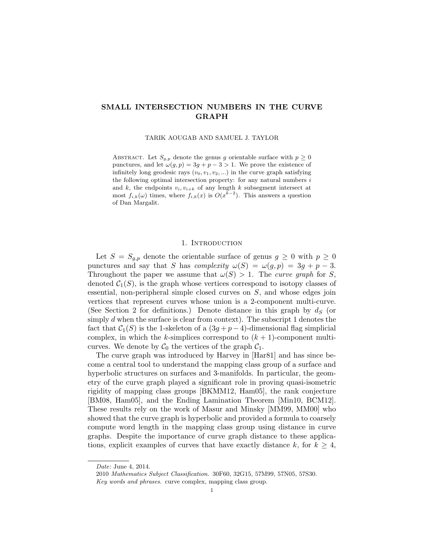# SMALL INTERSECTION NUMBERS IN THE CURVE GRAPH

TARIK AOUGAB AND SAMUEL J. TAYLOR

ABSTRACT. Let  $S_{g,p}$  denote the genus g orientable surface with  $p \geq 0$ punctures, and let  $\omega(g, p) = 3g + p - 3 > 1$ . We prove the existence of infinitely long geodesic rays  $(v_0, v_1, v_2, ...)$  in the curve graph satisfying the following optimal intersection property: for any natural numbers  $i$ and k, the endpoints  $v_i, v_{i+k}$  of any length k subsegment intersect at most  $f_{i,k}(\omega)$  times, where  $f_{i,k}(x)$  is  $O(x^{k-2})$ . This answers a question of Dan Margalit.

#### 1. INTRODUCTION

Let  $S = S_{q,p}$  denote the orientable surface of genus  $g \geq 0$  with  $p \geq 0$ punctures and say that S has complexity  $\omega(S) = \omega(g, p) = 3g + p - 3$ . Throughout the paper we assume that  $\omega(S) > 1$ . The curve graph for S, denoted  $C_1(S)$ , is the graph whose vertices correspond to isotopy classes of essential, non-peripheral simple closed curves on S, and whose edges join vertices that represent curves whose union is a 2-component multi-curve. (See Section 2 for definitions.) Denote distance in this graph by  $d_S$  (or simply d when the surface is clear from context). The subscript 1 denotes the fact that  $C_1(S)$  is the 1-skeleton of a  $(3q+p-4)$ -dimensional flag simplicial complex, in which the k-simplices correspond to  $(k + 1)$ -component multicurves. We denote by  $C_0$  the vertices of the graph  $C_1$ .

The curve graph was introduced by Harvey in [Har81] and has since become a central tool to understand the mapping class group of a surface and hyperbolic structures on surfaces and 3-manifolds. In particular, the geometry of the curve graph played a significant role in proving quasi-isometric rigidity of mapping class groups [BKMM12, Ham05], the rank conjecture [BM08, Ham05], and the Ending Lamination Theorem [Min10, BCM12]. These results rely on the work of Masur and Minsky [MM99, MM00] who showed that the curve graph is hyperbolic and provided a formula to coarsely compute word length in the mapping class group using distance in curve graphs. Despite the importance of curve graph distance to these applications, explicit examples of curves that have exactly distance k, for  $k \geq 4$ ,

Date: June 4, 2014.

<sup>2010</sup> Mathematics Subject Classification. 30F60, 32G15, 57M99, 57N05, 57S30. Key words and phrases. curve complex, mapping class group.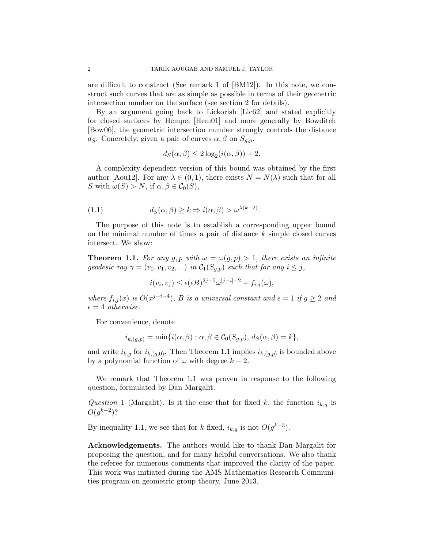are difficult to construct (See remark 1 of [BM12]). In this note, we construct such curves that are as simple as possible in terms of their geometric intersection number on the surface (see section 2 for details).

By an argument going back to Lickorish [Lic62] and stated explicitly for closed surfaces by Hempel [Hem01] and more generally by Bowditch [Bow06], the geometric intersection number strongly controls the distance ds. Concretely, given a pair of curves  $\alpha, \beta$  on  $S_{q,p}$ ,

$$
d_S(\alpha, \beta) \le 2\log_2(i(\alpha, \beta)) + 2.
$$

A complexity-dependent version of this bound was obtained by the first author [Aou12]. For any  $\lambda \in (0,1)$ , there exists  $N = N(\lambda)$  such that for all S with  $\omega(S) > N$ , if  $\alpha, \beta \in C_0(S)$ ,

(1.1) 
$$
d_S(\alpha, \beta) \geq k \Rightarrow i(\alpha, \beta) > \omega^{\lambda(k-2)}.
$$

The purpose of this note is to establish a corresponding upper bound on the minimal number of times a pair of distance  $k$  simple closed curves intersect. We show:

**Theorem 1.1.** For any g, p with  $\omega = \omega(g, p) > 1$ , there exists an infinite geodesic ray  $\gamma = (v_0, v_1, v_2, ...)$  in  $\mathcal{C}_1(S_{q,p})$  such that for any  $i \leq j$ ,

$$
i(v_i, v_j) \le \epsilon(\epsilon B)^{2j-5} \omega^{|j-i|-2} + f_{i,j}(\omega),
$$

where  $f_{i,j}(x)$  is  $O(x^{j-i-4})$ , B is a universal constant and  $\epsilon = 1$  if  $g \geq 2$  and  $\epsilon = 4$  otherwise.

For convenience, denote

$$
i_{k,(g,p)} = \min\{i(\alpha,\beta) : \alpha,\beta \in C_0(S_{g,p}), d_S(\alpha,\beta) = k\},\
$$

and write  $i_{k,g}$  for  $i_{k,(g,0)}$ . Then Theorem 1.1 implies  $i_{k,(g,p)}$  is bounded above by a polynomial function of  $\omega$  with degree  $k-2$ .

We remark that Theorem 1.1 was proven in response to the following question, formulated by Dan Margalit:

Question 1 (Margalit). Is it the case that for fixed k, the function  $i_{k,g}$  is  $O(g^{k-2})$ ?

By inequality 1.1, we see that for k fixed,  $i_{k,g}$  is not  $O(g^{k-3})$ .

Acknowledgements. The authors would like to thank Dan Margalit for proposing the question, and for many helpful conversations. We also thank the referee for numerous comments that improved the clarity of the paper. This work was initiated during the AMS Mathematics Research Communities program on geometric group theory, June 2013.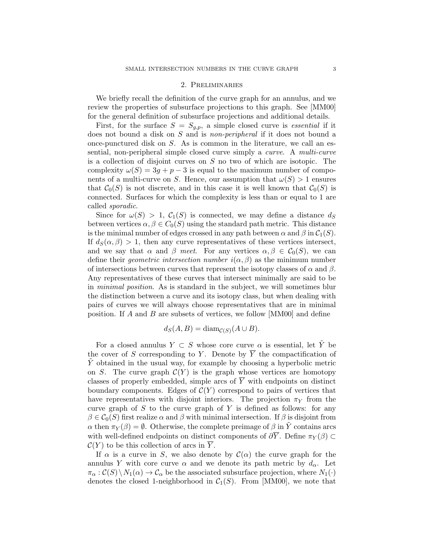### 2. Preliminaries

We briefly recall the definition of the curve graph for an annulus, and we review the properties of subsurface projections to this graph. See [MM00] for the general definition of subsurface projections and additional details.

First, for the surface  $S = S_{g,p}$ , a simple closed curve is *essential* if it does not bound a disk on S and is *non-peripheral* if it does not bound a once-punctured disk on  $S$ . As is common in the literature, we call an essential, non-peripheral simple closed curve simply a curve. A multi-curve is a collection of disjoint curves on S no two of which are isotopic. The complexity  $\omega(S) = 3g + p - 3$  is equal to the maximum number of components of a multi-curve on S. Hence, our assumption that  $\omega(S) > 1$  ensures that  $C_0(S)$  is not discrete, and in this case it is well known that  $C_0(S)$  is connected. Surfaces for which the complexity is less than or equal to 1 are called sporadic.

Since for  $\omega(S) > 1$ ,  $\mathcal{C}_1(S)$  is connected, we may define a distance  $d_S$ between vertices  $\alpha, \beta \in C_0(S)$  using the standard path metric. This distance is the minimal number of edges crossed in any path between  $\alpha$  and  $\beta$  in  $C_1(S)$ . If  $d_S(\alpha, \beta) > 1$ , then any curve representatives of these vertices intersect, and we say that  $\alpha$  and  $\beta$  meet. For any vertices  $\alpha, \beta \in C_0(S)$ , we can define their *geometric intersection number*  $i(\alpha, \beta)$  as the minimum number of intersections between curves that represent the isotopy classes of  $\alpha$  and  $\beta$ . Any representatives of these curves that intersect minimally are said to be in minimal position. As is standard in the subject, we will sometimes blur the distinction between a curve and its isotopy class, but when dealing with pairs of curves we will always choose representatives that are in minimal position. If A and B are subsets of vertices, we follow [MM00] and define

$$
d_S(A, B) = \text{diam}_{\mathcal{C}(S)}(A \cup B).
$$

For a closed annulus  $Y \subset S$  whose core curve  $\alpha$  is essential, let  $\tilde{Y}$  be the cover of S corresponding to Y. Denote by  $\overline{Y}$  the compactification of  $\tilde{Y}$  obtained in the usual way, for example by choosing a hyperbolic metric on S. The curve graph  $\mathcal{C}(Y)$  is the graph whose vertices are homotopy classes of properly embedded, simple arcs of  $\overline{Y}$  with endpoints on distinct boundary components. Edges of  $C(Y)$  correspond to pairs of vertices that have representatives with disjoint interiors. The projection  $\pi_Y$  from the curve graph of  $S$  to the curve graph of  $Y$  is defined as follows: for any  $\beta \in C_0(S)$  first realize  $\alpha$  and  $\beta$  with minimal intersection. If  $\beta$  is disjoint from  $\alpha$  then  $\pi_Y(\beta) = \emptyset$ . Otherwise, the complete preimage of  $\beta$  in  $\tilde{Y}$  contains arcs with well-defined endpoints on distinct components of  $\partial \overline{Y}$ . Define  $\pi_Y(\beta) \subset$  $\mathcal{C}(Y)$  to be this collection of arcs in  $\overline{Y}$ .

If  $\alpha$  is a curve in S, we also denote by  $\mathcal{C}(\alpha)$  the curve graph for the annulus Y with core curve  $\alpha$  and we denote its path metric by  $d_{\alpha}$ . Let  $\pi_{\alpha}: \mathcal{C}(S) \setminus N_1(\alpha) \to \mathcal{C}_{\alpha}$  be the associated subsurface projection, where  $N_1(\cdot)$ denotes the closed 1-neighborhood in  $C_1(S)$ . From [MM00], we note that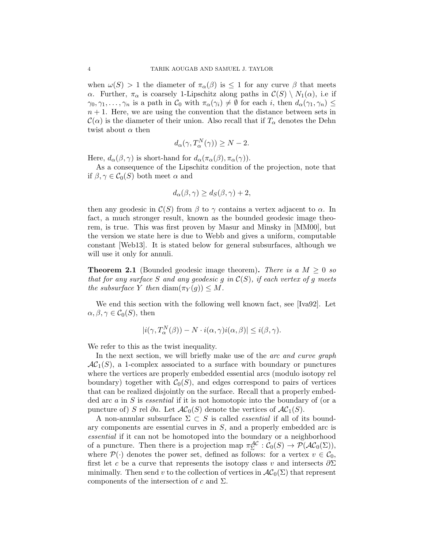when  $\omega(S) > 1$  the diameter of  $\pi_{\alpha}(\beta)$  is  $\leq 1$  for any curve  $\beta$  that meets α. Further,  $\pi_\alpha$  is coarsely 1-Lipschitz along paths in  $\mathcal{C}(S) \setminus N_1(\alpha)$ , i.e if  $\gamma_0, \gamma_1, \ldots, \gamma_n$  is a path in  $\mathcal{C}_0$  with  $\pi_\alpha(\gamma_i) \neq \emptyset$  for each i, then  $d_\alpha(\gamma_1, \gamma_n) \leq$  $n + 1$ . Here, we are using the convention that the distance between sets in  $\mathcal{C}(\alpha)$  is the diameter of their union. Also recall that if  $T_{\alpha}$  denotes the Dehn twist about  $\alpha$  then

$$
d_{\alpha}(\gamma, T_{\alpha}^N(\gamma)) \ge N - 2.
$$

Here,  $d_{\alpha}(\beta, \gamma)$  is short-hand for  $d_{\alpha}(\pi_{\alpha}(\beta), \pi_{\alpha}(\gamma))$ .

As a consequence of the Lipschitz condition of the projection, note that if  $\beta, \gamma \in C_0(S)$  both meet  $\alpha$  and

$$
d_{\alpha}(\beta, \gamma) \ge d_{S}(\beta, \gamma) + 2,
$$

then any geodesic in  $\mathcal{C}(S)$  from  $\beta$  to  $\gamma$  contains a vertex adjacent to  $\alpha$ . In fact, a much stronger result, known as the bounded geodesic image theorem, is true. This was first proven by Masur and Minsky in [MM00], but the version we state here is due to Webb and gives a uniform, computable constant [Web13]. It is stated below for general subsurfaces, although we will use it only for annuli.

**Theorem 2.1** (Bounded geodesic image theorem). There is a  $M \geq 0$  so that for any surface S and any geodesic g in  $\mathcal{C}(S)$ , if each vertex of g meets the subsurface Y then  $\text{diam}(\pi_Y(g)) \leq M$ .

We end this section with the following well known fact, see [Iva92]. Let  $\alpha, \beta, \gamma \in C_0(S)$ , then

$$
|i(\gamma, T_{\alpha}^N(\beta)) - N \cdot i(\alpha, \gamma)i(\alpha, \beta)| \le i(\beta, \gamma).
$$

We refer to this as the twist inequality.

In the next section, we will briefly make use of the *arc and curve graph*  $AC<sub>1</sub>(S)$ , a 1-complex associated to a surface with boundary or punctures where the vertices are properly embedded essential arcs (modulo isotopy rel boundary) together with  $C_0(S)$ , and edges correspond to pairs of vertices that can be realized disjointly on the surface. Recall that a properly embedded arc a in S is essential if it is not homotopic into the boundary of (or a puncture of) S rel ∂a. Let  $AC_0(S)$  denote the vertices of  $AC_1(S)$ .

A non-annular subsurface  $\Sigma \subset S$  is called *essential* if all of its boundary components are essential curves in  $S$ , and a properly embedded arc is essential if it can not be homotoped into the boundary or a neighborhood of a puncture. Then there is a projection map  $\pi_{\Sigma}^{\mathcal{AC}} : C_0(S) \to \mathcal{P}(\mathcal{AC}_0(\Sigma)),$ where  $\mathcal{P}(\cdot)$  denotes the power set, defined as follows: for a vertex  $v \in \mathcal{C}_0$ , first let c be a curve that represents the isotopy class v and intersects  $\partial \Sigma$ minimally. Then send v to the collection of vertices in  $\mathcal{AC}_0(\Sigma)$  that represent components of the intersection of c and  $\Sigma$ .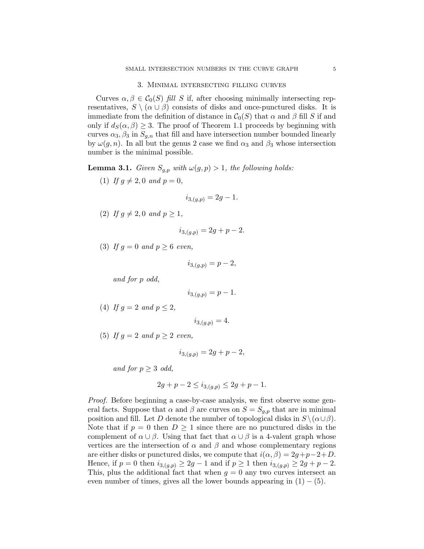#### 3. Minimal intersecting filling curves

Curves  $\alpha, \beta \in C_0(S)$  fill S if, after choosing minimally intersecting representatives,  $S \setminus (\alpha \cup \beta)$  consists of disks and once-punctured disks. It is immediate from the definition of distance in  $C_0(S)$  that  $\alpha$  and  $\beta$  fill S if and only if  $d_S(\alpha, \beta) \geq 3$ . The proof of Theorem 1.1 proceeds by beginning with curves  $\alpha_3$ ,  $\beta_3$  in  $S_{q,n}$  that fill and have intersection number bounded linearly by  $\omega(g, n)$ . In all but the genus 2 case we find  $\alpha_3$  and  $\beta_3$  whose intersection number is the minimal possible.

**Lemma 3.1.** Given  $S_{q,p}$  with  $\omega(g, p) > 1$ , the following holds:

(1) If  $q \neq 2, 0$  and  $p = 0$ ,

$$
i_{3,(g,p)} = 2g - 1.
$$

(2) If  $g \neq 2, 0$  and  $p \geq 1$ ,

$$
i_{3,(g,p)} = 2g + p - 2.
$$

(3) If  $q = 0$  and  $p \ge 6$  even,

$$
i_{3,(g,p)} = p - 2,
$$

and for p odd,

$$
i_{3,(g,p)} = p - 1.
$$

(4) If  $q = 2$  and  $p < 2$ ,

$$
i_{3,(q,p)} = 4.
$$

(5) If  $q = 2$  and  $p \geq 2$  even,

$$
i_{3,(g,p)} = 2g + p - 2,
$$

and for  $p > 3$  odd,

$$
2g + p - 2 \le i_{3,(g,p)} \le 2g + p - 1.
$$

Proof. Before beginning a case-by-case analysis, we first observe some general facts. Suppose that  $\alpha$  and  $\beta$  are curves on  $S = S_{g,p}$  that are in minimal position and fill. Let D denote the number of topological disks in  $S \setminus (\alpha \cup \beta)$ . Note that if  $p = 0$  then  $D \ge 1$  since there are no punctured disks in the complement of  $\alpha \cup \beta$ . Using that fact that  $\alpha \cup \beta$  is a 4-valent graph whose vertices are the intersection of  $\alpha$  and  $\beta$  and whose complementary regions are either disks or punctured disks, we compute that  $i(\alpha, \beta) = 2g+p-2+D$ . Hence, if  $p = 0$  then  $i_{3,(g,p)} \geq 2g - 1$  and if  $p \geq 1$  then  $i_{3,(g,p)} \geq 2g + p - 2$ . This, plus the additional fact that when  $g = 0$  any two curves intersect an even number of times, gives all the lower bounds appearing in  $(1) - (5)$ .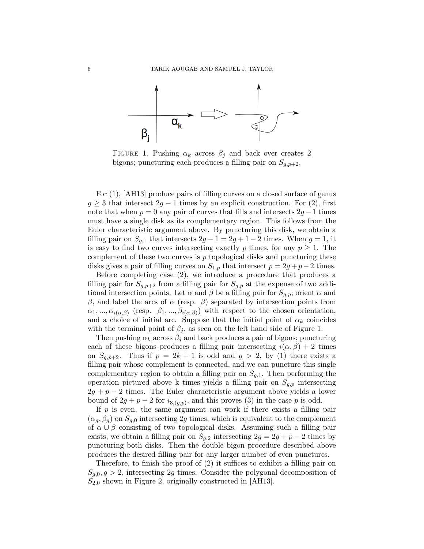

FIGURE 1. Pushing  $\alpha_k$  across  $\beta_j$  and back over creates 2 bigons; puncturing each produces a filling pair on  $S_{q,p+2}$ .

For (1), [AH13] produce pairs of filling curves on a closed surface of genus  $g \geq 3$  that intersect  $2g - 1$  times by an explicit construction. For (2), first note that when  $p = 0$  any pair of curves that fills and intersects  $2g - 1$  times must have a single disk as its complementary region. This follows from the Euler characteristic argument above. By puncturing this disk, we obtain a filling pair on  $S_{q,1}$  that intersects  $2g - 1 = 2g + 1 - 2$  times. When  $g = 1$ , it is easy to find two curves intersecting exactly p times, for any  $p \geq 1$ . The complement of these two curves is  $p$  topological disks and puncturing these disks gives a pair of filling curves on  $S_{1,p}$  that intersect  $p = 2g + p - 2$  times.

Before completing case (2), we introduce a procedure that produces a filling pair for  $S_{g,p+2}$  from a filling pair for  $S_{g,p}$  at the expense of two additional intersection points. Let  $\alpha$  and  $\beta$  be a filling pair for  $S_{g,p}$ ; orient  $\alpha$  and β, and label the arcs of  $\alpha$  (resp. β) separated by intersection points from  $\alpha_1, ..., \alpha_{i(\alpha,\beta)}$  (resp.  $\beta_1, ..., \beta_{i(\alpha,\beta)}$ ) with respect to the chosen orientation, and a choice of initial arc. Suppose that the initial point of  $\alpha_k$  coincides with the terminal point of  $\beta_i$ , as seen on the left hand side of Figure 1.

Then pushing  $\alpha_k$  across  $\beta_i$  and back produces a pair of bigons; puncturing each of these bigons produces a filling pair intersecting  $i(\alpha, \beta) + 2$  times on  $S_{a,p+2}$ . Thus if  $p = 2k + 1$  is odd and  $q > 2$ , by (1) there exists a filling pair whose complement is connected, and we can puncture this single complementary region to obtain a filling pair on  $S_{q,1}$ . Then performing the operation pictured above k times yields a filling pair on  $S_{g,p}$  intersecting  $2g + p - 2$  times. The Euler characteristic argument above yields a lower bound of  $2g + p - 2$  for  $i_{3,(g,p)}$ , and this proves (3) in the case p is odd.

If  $p$  is even, the same argument can work if there exists a filling pair  $(\alpha_q, \beta_q)$  on  $S_{q,0}$  intersecting 2g times, which is equivalent to the complement of  $\alpha \cup \beta$  consisting of two topological disks. Assuming such a filling pair exists, we obtain a filling pair on  $S_{q,2}$  intersecting  $2g = 2g + p - 2$  times by puncturing both disks. Then the double bigon procedure described above produces the desired filling pair for any larger number of even punctures.

Therefore, to finish the proof of (2) it suffices to exhibit a filling pair on  $S_{q,0}, g > 2$ , intersecting 2g times. Consider the polygonal decomposition of  $S_{2,0}$  shown in Figure 2, originally constructed in [AH13].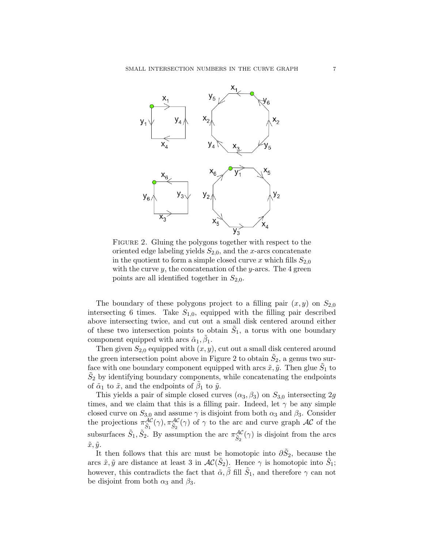

FIGURE 2. Gluing the polygons together with respect to the oriented edge labeling yields  $S_{2,0}$ , and the x-arcs concatenate in the quotient to form a simple closed curve x which fills  $S_{2,0}$ with the curve  $y$ , the concatenation of the  $y$ -arcs. The 4 green points are all identified together in  $S_{2,0}$ .

The boundary of these polygons project to a filling pair  $(x, y)$  on  $S_{2,0}$ intersecting 6 times. Take  $S_{1,0}$ , equipped with the filling pair described above intersecting twice, and cut out a small disk centered around either of these two intersection points to obtain  $\tilde{S}_1$ , a torus with one boundary component equipped with arcs  $\tilde{\alpha}_1, \tilde{\beta}_1$ .

Then given  $S_{2,0}$  equipped with  $(x, y)$ , cut out a small disk centered around the green intersection point above in Figure 2 to obtain  $\tilde{S}_2$ , a genus two surface with one boundary component equipped with arcs  $\tilde{x}, \tilde{y}$ . Then glue  $\tilde{S}_1$  to  $\tilde{S}_2$  by identifying boundary components, while concatenating the endpoints of  $\tilde{\alpha}_1$  to  $\tilde{x}$ , and the endpoints of  $\tilde{\beta}_1$  to  $\tilde{y}$ .

This yields a pair of simple closed curves  $(\alpha_3, \beta_3)$  on  $S_{3,0}$  intersecting 2g times, and we claim that this is a filling pair. Indeed, let  $\gamma$  be any simple closed curve on  $S_{3,0}$  and assume  $\gamma$  is disjoint from both  $\alpha_3$  and  $\beta_3$ . Consider the projections  $\pi_{\tilde{S}_1}^{\mathcal{AC}}(\gamma)$ ,  $\pi_{\tilde{S}_2}^{\mathcal{AC}}(\gamma)$  of  $\gamma$  to the arc and curve graph  $\mathcal{AC}$  of the subsurfaces  $\tilde{S}_1$ ,  $\tilde{S}_2$ . By assumption the arc  $\pi_{\tilde{S}_2}^{\mathcal{AC}}(\gamma)$  is disjoint from the arcs  $\tilde{x}, \tilde{y}$ .

It then follows that this arc must be homotopic into  $\partial \tilde{S}_2$ , because the arcs  $\tilde{x}, \tilde{y}$  are distance at least 3 in  $AC(\tilde{S}_2)$ . Hence  $\gamma$  is homotopic into  $\tilde{S}_1$ ; however, this contradicts the fact that  $\tilde{\alpha}, \tilde{\beta}$  fill  $\tilde{S}_1$ , and therefore  $\gamma$  can not be disjoint from both  $\alpha_3$  and  $\beta_3$ .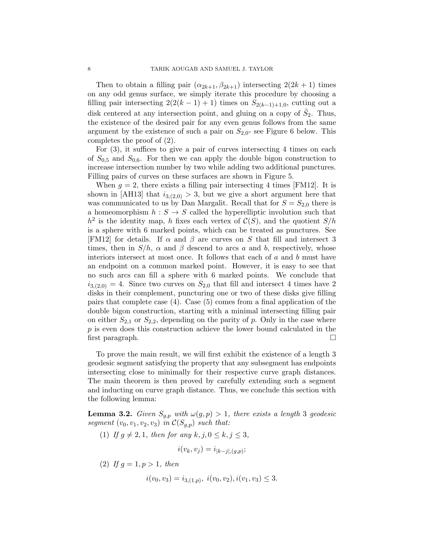Then to obtain a filling pair  $(\alpha_{2k+1}, \beta_{2k+1})$  intersecting  $2(2k+1)$  times on any odd genus surface, we simply iterate this procedure by choosing a filling pair intersecting  $2(2(k-1)+1)$  times on  $S_{2(k-1)+1,0}$ , cutting out a disk centered at any intersection point, and gluing on a copy of  $\tilde{S}_2$ . Thus, the existence of the desired pair for any even genus follows from the same argument by the existence of such a pair on  $S_{2,0}$ - see Figure 6 below. This completes the proof of (2).

For (3), it suffices to give a pair of curves intersecting 4 times on each of  $S_{0.5}$  and  $S_{0.6}$ . For then we can apply the double bigon construction to increase intersection number by two while adding two additional punctures. Filling pairs of curves on these surfaces are shown in Figure 5.

When  $g = 2$ , there exists a filling pair intersecting 4 times [FM12]. It is shown in [AH13] that  $i_{3,(2,0)} > 3$ , but we give a short argument here that was communicated to us by Dan Margalit. Recall that for  $S = S_{2,0}$  there is a homeomorphism  $h : S \to S$  called the hyperelliptic involution such that  $h^2$  is the identity map, h fixes each vertex of  $\mathcal{C}(S)$ , and the quotient  $S/h$ is a sphere with 6 marked points, which can be treated as punctures. See [FM12] for details. If  $\alpha$  and  $\beta$  are curves on S that fill and intersect 3 times, then in  $S/h$ ,  $\alpha$  and  $\beta$  descend to arcs a and b, respectively, whose interiors intersect at most once. It follows that each of  $a$  and  $b$  must have an endpoint on a common marked point. However, it is easy to see that no such arcs can fill a sphere with 6 marked points. We conclude that  $i_{3,(2,0)} = 4$ . Since two curves on  $S_{2,0}$  that fill and intersect 4 times have 2 disks in their complement, puncturing one or two of these disks give filling pairs that complete case (4). Case (5) comes from a final application of the double bigon construction, starting with a minimal intersecting filling pair on either  $S_{2,1}$  or  $S_{2,2}$ , depending on the parity of p. Only in the case where p is even does this construction achieve the lower bound calculated in the first paragraph.

To prove the main result, we will first exhibit the existence of a length 3 geodesic segment satisfying the property that any subsegment has endpoints intersecting close to minimally for their respective curve graph distances. The main theorem is then proved by carefully extending such a segment and inducting on curve graph distance. Thus, we conclude this section with the following lemma:

**Lemma 3.2.** Given  $S_{g,p}$  with  $\omega(g, p) > 1$ , there exists a length 3 geodesic segment  $(v_0, v_1, v_2, v_3)$  in  $\mathcal{C}(S_{q,p})$  such that:

(1) If 
$$
g \neq 2, 1
$$
, then for any  $k, j, 0 \leq k, j \leq 3$ ,  
\n
$$
i(v_k, v_j) = i_{|k-j|, (g, p)};
$$
\n(2) If  $g = 1, p > 1$ , then

$$
i(v_0, v_3) = i_{3,(1,p)}, \ i(v_0, v_2), i(v_1, v_3) \leq 3.
$$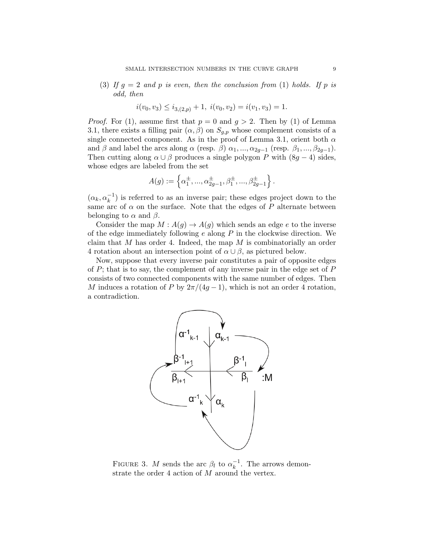(3) If  $g = 2$  and p is even, then the conclusion from (1) holds. If p is odd, then

$$
i(v_0, v_3) \le i_{3,(2,p)} + 1, \ i(v_0, v_2) = i(v_1, v_3) = 1.
$$

*Proof.* For (1), assume first that  $p = 0$  and  $q > 2$ . Then by (1) of Lemma 3.1, there exists a filling pair  $(\alpha, \beta)$  on  $S_{q,p}$  whose complement consists of a single connected component. As in the proof of Lemma 3.1, orient both  $\alpha$ and  $\beta$  and label the arcs along  $\alpha$  (resp.  $\beta$ )  $\alpha_1, ..., \alpha_{2q-1}$  (resp.  $\beta_1, ..., \beta_{2q-1}$ ). Then cutting along  $\alpha \cup \beta$  produces a single polygon P with  $(8g - 4)$  sides, whose edges are labeled from the set

$$
A(g) := \left\{ \alpha_1^{\pm}, ..., \alpha_{2g-1}^{\pm}, \beta_1^{\pm}, ..., \beta_{2g-1}^{\pm} \right\}.
$$

 $(\alpha_k, \alpha_k^{-1})$  is referred to as an inverse pair; these edges project down to the same arc of  $\alpha$  on the surface. Note that the edges of P alternate between belonging to  $\alpha$  and  $\beta$ .

Consider the map  $M : A(g) \to A(g)$  which sends an edge e to the inverse of the edge immediately following  $e$  along  $P$  in the clockwise direction. We claim that M has order 4. Indeed, the map M is combinatorially an order 4 rotation about an intersection point of  $\alpha \cup \beta$ , as pictured below.

Now, suppose that every inverse pair constitutes a pair of opposite edges of  $P$ ; that is to say, the complement of any inverse pair in the edge set of  $P$ consists of two connected components with the same number of edges. Then M induces a rotation of P by  $2\pi/(4q-1)$ , which is not an order 4 rotation, a contradiction.



FIGURE 3. M sends the arc  $\beta_l$  to  $\alpha_k^{-1}$  $\overline{k}^{\text{-}1}$ . The arrows demonstrate the order 4 action of M around the vertex.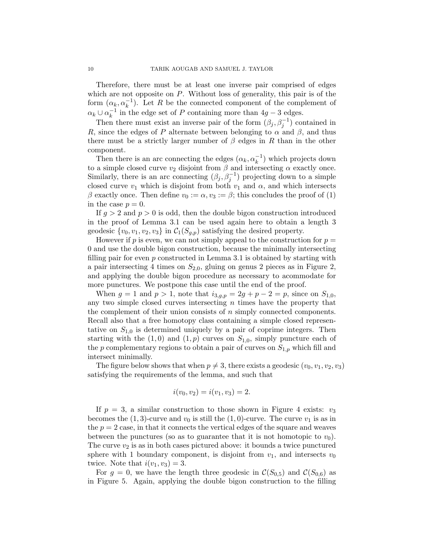Therefore, there must be at least one inverse pair comprised of edges which are not opposite on  $P$ . Without loss of generality, this pair is of the form  $(\alpha_k, \alpha_k^{-1})$ . Let R be the connected component of the complement of  $\alpha_k \cup \alpha_k^{-1}$  $\frac{1}{k}$ <sup>1</sup> in the edge set of P containing more than 4g − 3 edges.

Then there must exist an inverse pair of the form  $(\beta_j, \beta_j^{-1})$  contained in R, since the edges of P alternate between belonging to  $\alpha$  and  $\beta$ , and thus there must be a strictly larger number of  $\beta$  edges in R than in the other component.

Then there is an arc connecting the edges  $(\alpha_k, \alpha_k^{-1})$  which projects down to a simple closed curve  $v_2$  disjoint from  $\beta$  and intersecting  $\alpha$  exactly once. Similarly, there is an arc connecting  $(\beta_j, \beta_j^{-1})$  projecting down to a simple closed curve  $v_1$  which is disjoint from both  $v_1$  and  $\alpha$ , and which intersects β exactly once. Then define  $v_0 := \alpha, v_3 := \beta$ ; this concludes the proof of (1) in the case  $p = 0$ .

If  $q > 2$  and  $p > 0$  is odd, then the double bigon construction introduced in the proof of Lemma 3.1 can be used again here to obtain a length 3 geodesic  $\{v_0, v_1, v_2, v_3\}$  in  $\mathcal{C}_1(S_{q,p})$  satisfying the desired property.

However if  $p$  is even, we can not simply appeal to the construction for  $p =$ 0 and use the double bigon construction, because the minimally intersecting filling pair for even p constructed in Lemma 3.1 is obtained by starting with a pair intersecting 4 times on  $S_{2,0}$ , gluing on genus 2 pieces as in Figure 2, and applying the double bigon procedure as necessary to acommodate for more punctures. We postpone this case until the end of the proof.

When  $g = 1$  and  $p > 1$ , note that  $i_{3,g,p} = 2g + p - 2 = p$ , since on  $S_{1,0}$ , any two simple closed curves intersecting  $n$  times have the property that the complement of their union consists of  $n$  simply connected components. Recall also that a free homotopy class containing a simple closed representative on  $S_{1,0}$  is determined uniquely by a pair of coprime integers. Then starting with the  $(1,0)$  and  $(1,p)$  curves on  $S_{1,0}$ , simply puncture each of the p complementary regions to obtain a pair of curves on  $S_{1,p}$  which fill and intersect minimally.

The figure below shows that when  $p \neq 3$ , there exists a geodesic  $(v_0, v_1, v_2, v_3)$ satisfying the requirements of the lemma, and such that

$$
i(v_0, v_2) = i(v_1, v_3) = 2.
$$

If  $p = 3$ , a similar construction to those shown in Figure 4 exists:  $v_3$ becomes the  $(1, 3)$ -curve and  $v_0$  is still the  $(1, 0)$ -curve. The curve  $v_1$  is as in the  $p = 2$  case, in that it connects the vertical edges of the square and weaves between the punctures (so as to guarantee that it is not homotopic to  $v_0$ ). The curve  $v_2$  is as in both cases pictured above: it bounds a twice punctured sphere with 1 boundary component, is disjoint from  $v_1$ , and intersects  $v_0$ twice. Note that  $i(v_1, v_3) = 3$ .

For  $g = 0$ , we have the length three geodesic in  $\mathcal{C}(S_{0,5})$  and  $\mathcal{C}(S_{0,6})$  as in Figure 5. Again, applying the double bigon construction to the filling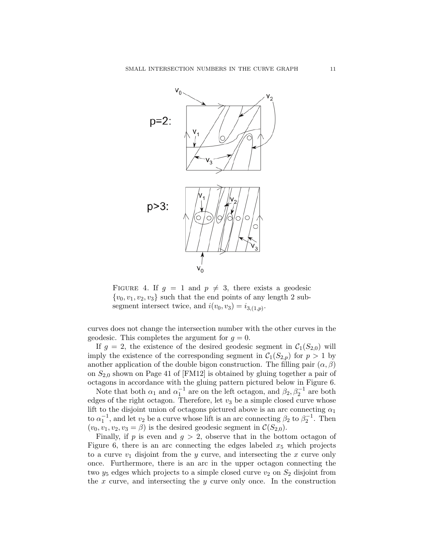

FIGURE 4. If  $q = 1$  and  $p \neq 3$ , there exists a geodesic  $\{v_0, v_1, v_2, v_3\}$  such that the end points of any length 2 subsegment intersect twice, and  $i(v_0, v_3) = i_{3,(1,p)}$ .

curves does not change the intersection number with the other curves in the geodesic. This completes the argument for  $g = 0$ .

If  $g = 2$ , the existence of the desired geodesic segment in  $C_1(S_{2,0})$  will imply the existence of the corresponding segment in  $C_1(S_{2,p})$  for  $p > 1$  by another application of the double bigon construction. The filling pair  $(\alpha, \beta)$ on  $S_{2,0}$  shown on Page 41 of [FM12] is obtained by gluing together a pair of octagons in accordance with the gluing pattern pictured below in Figure 6.

Note that both  $\alpha_1$  and  $\alpha_1^{-1}$  are on the left octagon, and  $\beta_2, \beta_2^{-1}$  are both edges of the right octagon. Therefore, let  $v_3$  be a simple closed curve whose lift to the disjoint union of octagons pictured above is an arc connecting  $\alpha_1$ to  $\alpha_1^{-1}$ , and let  $v_2$  be a curve whose lift is an arc connecting  $\beta_2$  to  $\beta_2^{-1}$ . Then  $(v_0, v_1, v_2, v_3 = \beta)$  is the desired geodesic segment in  $\mathcal{C}(S_{2,0})$ .

Finally, if p is even and  $g > 2$ , observe that in the bottom octagon of Figure 6, there is an arc connecting the edges labeled  $x_5$  which projects to a curve  $v_1$  disjoint from the y curve, and intersecting the x curve only once. Furthermore, there is an arc in the upper octagon connecting the two  $y_5$  edges which projects to a simple closed curve  $v_2$  on  $S_2$  disjoint from the x curve, and intersecting the  $y$  curve only once. In the construction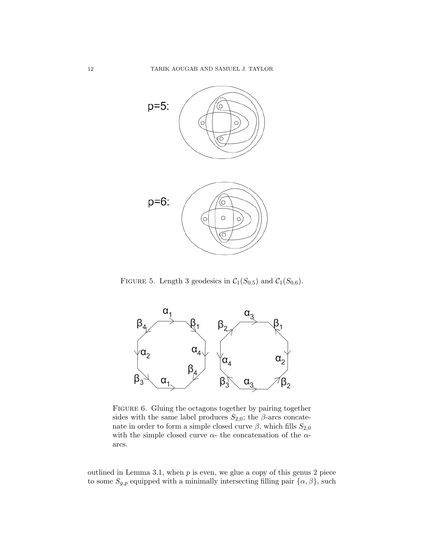

FIGURE 5. Length 3 geodesics in  $C_1(S_{0,5})$  and  $C_1(S_{0,6})$ .



FIGURE 6. Gluing the octagons together by pairing together sides with the same label produces  $S_{2,0}$ ; the  $\beta$ -arcs concatenate in order to form a simple closed curve  $\beta$ , which fills  $S_{2,0}$ with the simple closed curve  $\alpha$ - the concatenation of the  $\alpha$ arcs.

outlined in Lemma 3.1, when  $p$  is even, we glue a copy of this genus 2 piece to some  $S_{g,p}$  equipped with a minimally intersecting filling pair  $\{\alpha,\beta\}$ , such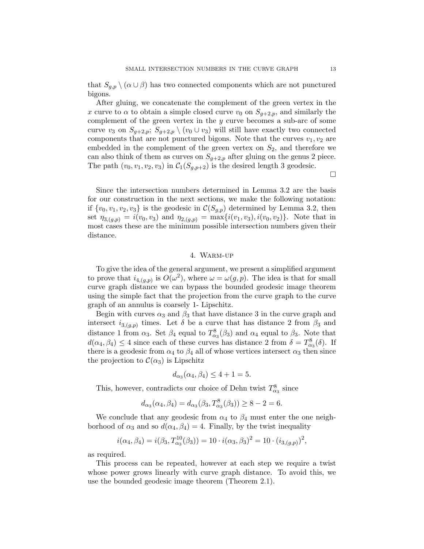that  $S_{q,p} \setminus (\alpha \cup \beta)$  has two connected components which are not punctured bigons.

After gluing, we concatenate the complement of the green vertex in the x curve to  $\alpha$  to obtain a simple closed curve  $v_0$  on  $S_{q+2,p}$ , and similarly the complement of the green vertex in the  $y$  curve becomes a sub-arc of some curve  $v_3$  on  $S_{g+2,p}$ ;  $S_{g+2,p} \setminus (v_0 \cup v_3)$  will still have exactly two connected components that are not punctured bigons. Note that the curves  $v_1, v_2$  are embedded in the complement of the green vertex on  $S_2$ , and therefore we can also think of them as curves on  $S_{g+2,p}$  after gluing on the genus 2 piece. The path  $(v_0, v_1, v_2, v_3)$  in  $C_1(S_{g,p+2})$  is the desired length 3 geodesic.

 $\Box$ 

Since the intersection numbers determined in Lemma 3.2 are the basis for our construction in the next sections, we make the following notation: if  $\{v_0, v_1, v_2, v_3\}$  is the geodesic in  $\mathcal{C}(S_{g,p})$  determined by Lemma 3.2, then set  $\eta_{3,(g,p)} = i(v_0, v_3)$  and  $\eta_{2,(g,p)} = \max\{i(v_1, v_3), i(v_0, v_2)\}\$ . Note that in most cases these are the minimum possible intersection numbers given their distance.

## 4. Warm-up

To give the idea of the general argument, we present a simplified argument to prove that  $i_{4,(g,p)}$  is  $O(\omega^2)$ , where  $\omega = \omega(g,p)$ . The idea is that for small curve graph distance we can bypass the bounded geodesic image theorem using the simple fact that the projection from the curve graph to the curve graph of an annulus is coarsely 1- Lipschitz.

Begin with curves  $\alpha_3$  and  $\beta_3$  that have distance 3 in the curve graph and intersect  $i_{3,(g,p)}$  times. Let  $\delta$  be a curve that has distance 2 from  $\beta_3$  and distance 1 from  $\alpha_3$ . Set  $\beta_4$  equal to  $T^8_{\alpha_3}(\beta_3)$  and  $\alpha_4$  equal to  $\beta_3$ . Note that  $d(\alpha_4, \beta_4) \leq 4$  since each of these curves has distance 2 from  $\delta = T_{\alpha_3}^8(\delta)$ . If there is a geodesic from  $\alpha_4$  to  $\beta_4$  all of whose vertices intersect  $\alpha_3$  then since the projection to  $\mathcal{C}(\alpha_3)$  is Lipschitz

$$
d_{\alpha_3}(\alpha_4, \beta_4) \le 4 + 1 = 5.
$$

This, however, contradicts our choice of Dehn twist  $T^8_{\alpha_3}$  since

$$
d_{\alpha_3}(\alpha_4, \beta_4) = d_{\alpha_3}(\beta_3, T^8_{\alpha_3}(\beta_3)) \ge 8 - 2 = 6.
$$

We conclude that any geodesic from  $\alpha_4$  to  $\beta_4$  must enter the one neighborhood of  $\alpha_3$  and so  $d(\alpha_4, \beta_4) = 4$ . Finally, by the twist inequality

$$
i(\alpha_4, \beta_4) = i(\beta_3, T_{\alpha_3}^{10}(\beta_3)) = 10 \cdot i(\alpha_3, \beta_3)^2 = 10 \cdot (i_{3,(g,p)})^2,
$$

as required.

This process can be repeated, however at each step we require a twist whose power grows linearly with curve graph distance. To avoid this, we use the bounded geodesic image theorem (Theorem 2.1).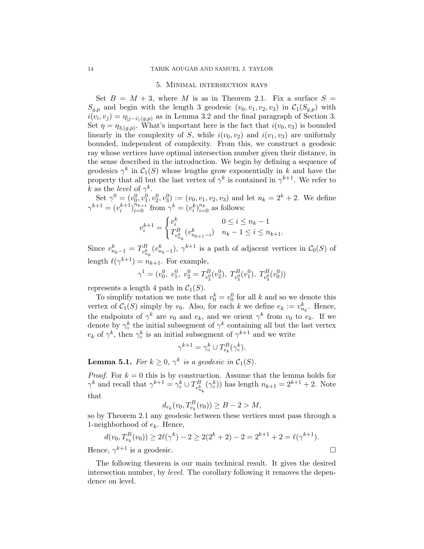#### 5. Minimal intersection rays

Set  $B = M + 3$ , where M is as in Theorem 2.1. Fix a surface  $S =$  $S_{g,p}$  and begin with the length 3 geodesic  $(v_0, v_1, v_2, v_3)$  in  $\mathcal{C}_1(S_{g,p})$  with  $i(v_i, v_j) = \eta_{|j-i|, (g, p)}$  as in Lemma 3.2 and the final paragraph of Section 3. Set  $\eta = \eta_{3,(g,p)}$ . What's important here is the fact that  $i(v_0, v_3)$  is bounded linearly in the complexity of S, while  $i(v_0, v_2)$  and  $i(v_1, v_3)$  are uniformly bounded, independent of complexity. From this, we construct a geodesic ray whose vertices have optimal intersection number given their distance, in the sense described in the introduction. We begin by defining a sequence of geodesics  $\gamma^k$  in  $\mathcal{C}_1(S)$  whose lengths grow exponentially in k and have the property that all but the last vertex of  $\gamma^k$  is contained in  $\gamma^{k+1}$ . We refer to k as the level of  $\gamma^k$ .

Set  $\gamma^0 = (v_0^0, v_1^0, v_2^0, v_3^0) := (v_0, v_1, v_2, v_3)$  and let  $n_k = 2^k + 2$ . We define  $\gamma^{k+1} = (v_i^{k+1})_{i=0}^{\tilde{n}_{k+1}}$  from  $\gamma^k = (v_i^k)_{i=0}^{\tilde{n}_k}$  as follows:

$$
v_i^{k+1} = \begin{cases} v_i^k & 0 \le i \le n_k - 1\\ T_{v_{n_k}^k}^B(v_{n_{k+1}-i}^k) & n_k - 1 \le i \le n_{k+1}. \end{cases}
$$

Since  $v_{n_k-1}^k = T_{v_n^k}^B$  $v_{n_k}^B(v_{n_k-1}^k)$ ,  $\gamma^{k+1}$  is a path of adjacent vertices in  $\mathcal{C}_0(S)$  of length  $\ell(\gamma^{k+1}) = n_{k+1}$ . For example,

$$
\gamma^1=(v_0^0,~v_1^0,~v_2^0=T^B_{v_3^0}(v_2^0),~T^B_{v_3^0}(v_1^0),~T^B_{v_3^0}(v_0^0))
$$

represents a length 4 path in  $C_1(S)$ .

To simplify notation we note that  $v_0^k = v_0^0$  for all k and so we denote this vertex of  $C_1(S)$  simply by  $v_0$ . Also, for each k we define  $e_k := v_{n_k}^k$ . Hence, the endpoints of  $\gamma^k$  are  $v_0$  and  $e_k$ , and we orient  $\gamma^k$  from  $v_0$  to  $e_k$ . If we denote by  $\gamma_o^k$  the initial subsegment of  $\gamma^k$  containing all but the last vertex  $e_k$  of  $\gamma^k$ , then  $\gamma^k$  is an initial subsegment of  $\gamma^{k+1}$  and we write

$$
\gamma^{k+1} = \gamma_{\circ}^k \cup T_{e_k}^B(\gamma_{\circ}^k).
$$

**Lemma 5.1.** For  $k \geq 0$ ,  $\gamma^k$  is a geodesic in  $C_1(S)$ .

*Proof.* For  $k = 0$  this is by construction. Assume that the lemma holds for  $\gamma^k$  and recall that  $\gamma^{k+1} = \gamma_{\circ}^k \cup T_{v_k}^B$  $v_{n_k}^B(\gamma_\circ^k)$  has length  $n_{k+1} = 2^{k+1} + 2$ . Note that

$$
d_{e_k}(v_0, T_{e_k}^B(v_0)) \ge B - 2 > M,
$$

so by Theorem 2.1 any geodesic between these vertices must pass through a 1-neighborhood of  $e_k$ . Hence,

$$
d(v_0, T_{e_k}^B(v_0)) \ge 2\ell(\gamma^k) - 2 \ge 2(2^k + 2) - 2 = 2^{k+1} + 2 = \ell(\gamma^{k+1}).
$$
  
Hence,  $\gamma^{k+1}$  is a geodesic.

The following theorem is our main technical result. It gives the desired intersection number, by *level*. The corollary following it removes the dependence on level.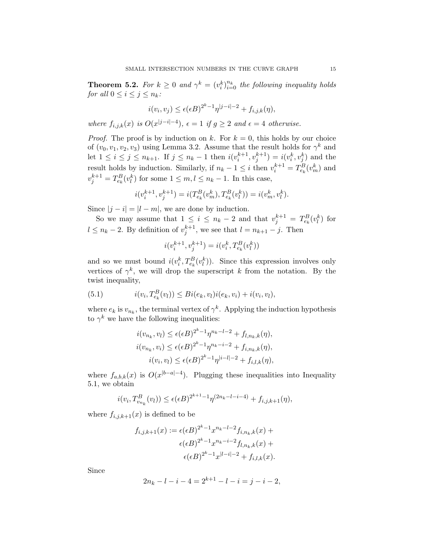**Theorem 5.2.** For  $k \geq 0$  and  $\gamma^k = (v_i^k)_{i=0}^{n_k}$  the following inequality holds for all  $0 \leq i \leq j \leq n_k$ :

$$
i(v_i, v_j) \le \epsilon(\epsilon B)^{2^k - 1} \eta^{|j - i| - 2} + f_{i, j, k}(\eta),
$$

where  $f_{i,j,k}(x)$  is  $O(x^{|j-i|-4})$ ,  $\epsilon = 1$  if  $g \geq 2$  and  $\epsilon = 4$  otherwise.

*Proof.* The proof is by induction on k. For  $k = 0$ , this holds by our choice of  $(v_0, v_1, v_2, v_3)$  using Lemma 3.2. Assume that the result holds for  $\gamma^k$  and let  $1 \le i \le j \le n_{k+1}$ . If  $j \le n_k - 1$  then  $i(v_i^{k+1}, v_j^{k+1}) = i(v_i^k, v_j^k)$  and the result holds by induction. Similarly, if  $n_k - 1 \leq i$  then  $v_i^{k+1} = T_{e_k}^B(v_m^k)$  and  $v_j^{k+1} = T_{e_k}^B(v_l^k)$  for some  $1 \leq m, l \leq n_k - 1$ . In this case,

$$
i(v_i^{k+1}, v_j^{k+1}) = i(T_{e_k}^B(v_m^k), T_{e_k}^B(v_l^k)) = i(v_m^k, v_l^k).
$$

Since  $|j - i| = |l - m|$ , we are done by induction.

So we may assume that  $1 \leq i \leq n_k - 2$  and that  $v_j^{k+1} = T_{e_k}^B(v_l^k)$  for  $l \leq n_k - 2$ . By definition of  $v_j^{k+1}$ , we see that  $l = n_{k+1} - j$ . Then

$$
i(v_i^{k+1}, v_j^{k+1}) = i(v_i^k, T_{e_k}^B(v_l^k))
$$

and so we must bound  $i(v_i^k, T_{e_k}^B(v_i^k))$ . Since this expression involves only vertices of  $\gamma^k$ , we will drop the superscript k from the notation. By the twist inequality,

(5.1) 
$$
i(v_i, T_{e_k}^B(v_l)) \leq Bi(e_k, v_l)i(e_k, v_i) + i(v_i, v_l),
$$

where  $e_k$  is  $v_{n_k}$ , the terminal vertex of  $\gamma^k$ . Applying the induction hypothesis to  $\gamma^k$  we have the following inequalities:

$$
i(v_{n_k}, v_l) \le \epsilon(\epsilon B)^{2^k - 1} \eta^{n_k - l - 2} + f_{l, n_k, k}(\eta),
$$
  

$$
i(v_{n_k}, v_i) \le \epsilon(\epsilon B)^{2^k - 1} \eta^{n_k - i - 2} + f_{i, n_k, k}(\eta),
$$
  

$$
i(v_i, v_l) \le \epsilon(\epsilon B)^{2^k - 1} \eta^{|i - l| - 2} + f_{i, l, k}(\eta),
$$

where  $f_{a,b,k}(x)$  is  $O(x^{|b-a|-4})$ . Plugging these inequalities into Inequality 5.1, we obtain

$$
i(v_i, T_{v_{n_k}}^B(v_l)) \le \epsilon(\epsilon B)^{2^{k+1}-1} \eta^{(2n_k-l-i-4)} + f_{i,j,k+1}(\eta),
$$

where  $f_{i,j,k+1}(x)$  is defined to be

$$
f_{i,j,k+1}(x) := \epsilon(\epsilon B)^{2^k - 1} x^{n_k - l - 2} f_{i,n_k,k}(x) + \epsilon(\epsilon B)^{2^k - 1} x^{n_k - i - 2} f_{l,n_k,k}(x) + \epsilon(\epsilon B)^{2^k - 1} x^{|l - i| - 2} + f_{i,l,k}(x).
$$

Since

$$
2n_k - l - i - 4 = 2^{k+1} - l - i = j - i - 2,
$$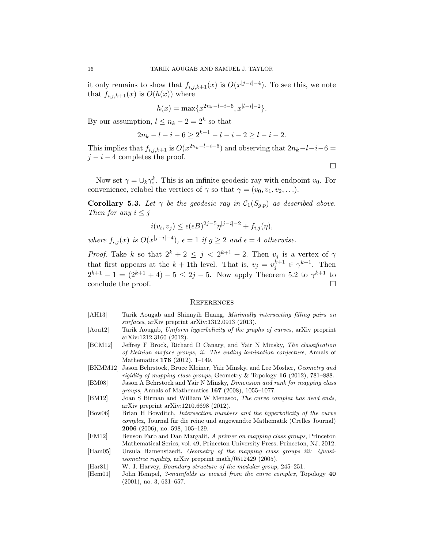it only remains to show that  $f_{i,j,k+1}(x)$  is  $O(x^{|j-i|-4})$ . To see this, we note that  $f_{i,j,k+1}(x)$  is  $O(h(x))$  where

$$
h(x) = \max\{x^{2n_k - l - i - 6}, x^{|l - i| - 2}\}.
$$

By our assumption,  $l \leq n_k - 2 = 2^k$  so that

$$
2n_k - l - i - 6 \ge 2^{k+1} - l - i - 2 \ge l - i - 2.
$$

This implies that  $f_{i,j,k+1}$  is  $O(x^{2n_k-l-i-6})$  and observing that  $2n_k-l-i-6=$  $j - i - 4$  completes the proof.

Now set  $\gamma = \bigcup_k \gamma_o^k$ . This is an infinite geodesic ray with endpoint  $v_0$ . For convenience, relabel the vertices of  $\gamma$  so that  $\gamma = (v_0, v_1, v_2, \ldots)$ .

 $\Box$ 

**Corollary 5.3.** Let  $\gamma$  be the geodesic ray in  $\mathcal{C}_1(S_{q,p})$  as described above. Then for any  $i \leq j$ 

$$
i(v_i, v_j) \le \epsilon(\epsilon B)^{2j-5} \eta^{|j-i|-2} + f_{i,j}(\eta),
$$

where  $f_{i,j}(x)$  is  $O(x^{|j-i|-4})$ ,  $\epsilon = 1$  if  $g \geq 2$  and  $\epsilon = 4$  otherwise.

*Proof.* Take k so that  $2^k + 2 \leq j < 2^{k+1} + 2$ . Then  $v_j$  is a vertex of  $\gamma$ that first appears at the  $k + 1$ th level. That is,  $v_j = v_j^{k+1} \in \gamma^{k+1}$ . Then  $2^{k+1} - 1 = (2^{k+1} + 4) - 5 \le 2j - 5$ . Now apply Theorem 5.2 to  $\gamma^{k+1}$  to conclude the proof.

#### **REFERENCES**

- [AH13] Tarik Aougab and Shinnyih Huang, Minimally intersecting filling pairs on surfaces, arXiv preprint arXiv:1312.0913 (2013).
- [Aou12] Tarik Aougab, Uniform hyperbolicity of the graphs of curves, arXiv preprint arXiv:1212.3160 (2012).
- [BCM12] Jeffrey F Brock, Richard D Canary, and Yair N Minsky, The classification of kleinian surface groups, ii: The ending lamination conjecture, Annals of Mathematics 176 (2012), 1–149.
- [BKMM12] Jason Behrstock, Bruce Kleiner, Yair Minsky, and Lee Mosher, Geometry and rigidity of mapping class groups, Geometry & Topology  $16$  (2012), 781–888.
- [BM08] Jason A Behrstock and Yair N Minsky, Dimension and rank for mapping class groups, Annals of Mathematics 167 (2008), 1055–1077.
- [BM12] Joan S Birman and William W Menasco, The curve complex has dead ends, arXiv preprint arXiv:1210.6698 (2012).
- [Bow06] Brian H Bowditch, Intersection numbers and the hyperbolicity of the curve complex, Journal für die reine und angewandte Mathematik (Crelles Journal) 2006 (2006), no. 598, 105–129.
- [FM12] Benson Farb and Dan Margalit, A primer on mapping class groups, Princeton Mathematical Series, vol. 49, Princeton University Press, Princeton, NJ, 2012.
- [Ham05] Ursula Hamenstaedt, Geometry of the mapping class groups iii: Quasiisometric rigidity, arXiv preprint math/0512429 (2005).
- [Har81] W. J. Harvey, Boundary structure of the modular group, 245–251.
- [Hem01] John Hempel, 3-manifolds as viewed from the curve complex, Topology 40 (2001), no. 3, 631–657.